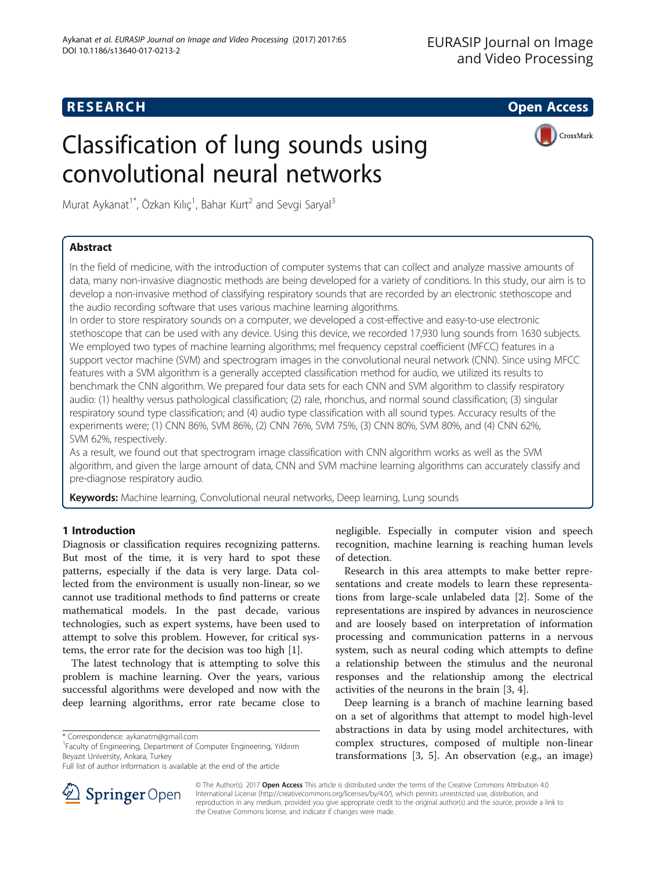## **RESEARCH CHE Open Access**

# Classification of lung sounds using convolutional neural networks



Murat Aykanat<sup>1\*</sup>, Özkan Kılıç<sup>1</sup>, Bahar Kurt<sup>2</sup> and Sevgi Saryal<sup>3</sup>

## Abstract

In the field of medicine, with the introduction of computer systems that can collect and analyze massive amounts of data, many non-invasive diagnostic methods are being developed for a variety of conditions. In this study, our aim is to develop a non-invasive method of classifying respiratory sounds that are recorded by an electronic stethoscope and the audio recording software that uses various machine learning algorithms.

In order to store respiratory sounds on a computer, we developed a cost-effective and easy-to-use electronic stethoscope that can be used with any device. Using this device, we recorded 17,930 lung sounds from 1630 subjects. We employed two types of machine learning algorithms; mel frequency cepstral coefficient (MFCC) features in a support vector machine (SVM) and spectrogram images in the convolutional neural network (CNN). Since using MFCC features with a SVM algorithm is a generally accepted classification method for audio, we utilized its results to benchmark the CNN algorithm. We prepared four data sets for each CNN and SVM algorithm to classify respiratory audio: (1) healthy versus pathological classification; (2) rale, rhonchus, and normal sound classification; (3) singular respiratory sound type classification; and (4) audio type classification with all sound types. Accuracy results of the experiments were; (1) CNN 86%, SVM 86%, (2) CNN 76%, SVM 75%, (3) CNN 80%, SVM 80%, and (4) CNN 62%, SVM 62%, respectively.

As a result, we found out that spectrogram image classification with CNN algorithm works as well as the SVM algorithm, and given the large amount of data, CNN and SVM machine learning algorithms can accurately classify and pre-diagnose respiratory audio.

Keywords: Machine learning, Convolutional neural networks, Deep learning, Lung sounds

## 1 Introduction

Diagnosis or classification requires recognizing patterns. But most of the time, it is very hard to spot these patterns, especially if the data is very large. Data collected from the environment is usually non-linear, so we cannot use traditional methods to find patterns or create mathematical models. In the past decade, various technologies, such as expert systems, have been used to attempt to solve this problem. However, for critical systems, the error rate for the decision was too high [[1\]](#page-7-0).

The latest technology that is attempting to solve this problem is machine learning. Over the years, various successful algorithms were developed and now with the deep learning algorithms, error rate became close to

Faculty of Engineering, Department of Computer Engineering, Yıldırım Beyazıt University, Ankara, Turkey

negligible. Especially in computer vision and speech recognition, machine learning is reaching human levels of detection.

Research in this area attempts to make better representations and create models to learn these representations from large-scale unlabeled data [[2\]](#page-7-0). Some of the representations are inspired by advances in neuroscience and are loosely based on interpretation of information processing and communication patterns in a nervous system, such as neural coding which attempts to define a relationship between the stimulus and the neuronal responses and the relationship among the electrical activities of the neurons in the brain [\[3, 4\]](#page-7-0).

Deep learning is a branch of machine learning based on a set of algorithms that attempt to model high-level abstractions in data by using model architectures, with complex structures, composed of multiple non-linear transformations [\[3](#page-7-0), [5\]](#page-7-0). An observation (e.g., an image)



© The Author(s). 2017 Open Access This article is distributed under the terms of the Creative Commons Attribution 4.0 International License ([http://creativecommons.org/licenses/by/4.0/\)](http://creativecommons.org/licenses/by/4.0/), which permits unrestricted use, distribution, and reproduction in any medium, provided you give appropriate credit to the original author(s) and the source, provide a link to the Creative Commons license, and indicate if changes were made.

<sup>\*</sup> Correspondence: [aykanatm@gmail.com](mailto:aykanatm@gmail.com) <sup>1</sup>

Full list of author information is available at the end of the article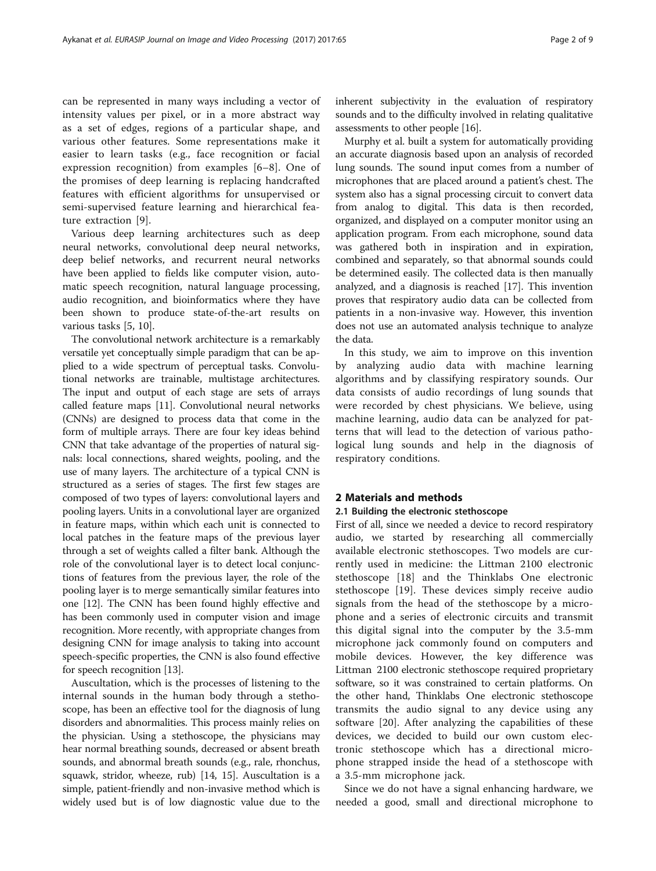can be represented in many ways including a vector of intensity values per pixel, or in a more abstract way as a set of edges, regions of a particular shape, and various other features. Some representations make it easier to learn tasks (e.g., face recognition or facial expression recognition) from examples [\[6](#page-7-0)–[8](#page-8-0)]. One of the promises of deep learning is replacing handcrafted features with efficient algorithms for unsupervised or semi-supervised feature learning and hierarchical feature extraction [[9\]](#page-8-0).

Various deep learning architectures such as deep neural networks, convolutional deep neural networks, deep belief networks, and recurrent neural networks have been applied to fields like computer vision, automatic speech recognition, natural language processing, audio recognition, and bioinformatics where they have been shown to produce state-of-the-art results on various tasks [\[5](#page-7-0), [10](#page-8-0)].

The convolutional network architecture is a remarkably versatile yet conceptually simple paradigm that can be applied to a wide spectrum of perceptual tasks. Convolutional networks are trainable, multistage architectures. The input and output of each stage are sets of arrays called feature maps [\[11\]](#page-8-0). Convolutional neural networks (CNNs) are designed to process data that come in the form of multiple arrays. There are four key ideas behind CNN that take advantage of the properties of natural signals: local connections, shared weights, pooling, and the use of many layers. The architecture of a typical CNN is structured as a series of stages. The first few stages are composed of two types of layers: convolutional layers and pooling layers. Units in a convolutional layer are organized in feature maps, within which each unit is connected to local patches in the feature maps of the previous layer through a set of weights called a filter bank. Although the role of the convolutional layer is to detect local conjunctions of features from the previous layer, the role of the pooling layer is to merge semantically similar features into one [\[12](#page-8-0)]. The CNN has been found highly effective and has been commonly used in computer vision and image recognition. More recently, with appropriate changes from designing CNN for image analysis to taking into account speech-specific properties, the CNN is also found effective for speech recognition [[13](#page-8-0)].

Auscultation, which is the processes of listening to the internal sounds in the human body through a stethoscope, has been an effective tool for the diagnosis of lung disorders and abnormalities. This process mainly relies on the physician. Using a stethoscope, the physicians may hear normal breathing sounds, decreased or absent breath sounds, and abnormal breath sounds (e.g., rale, rhonchus, squawk, stridor, wheeze, rub) [\[14, 15\]](#page-8-0). Auscultation is a simple, patient-friendly and non-invasive method which is widely used but is of low diagnostic value due to the

inherent subjectivity in the evaluation of respiratory sounds and to the difficulty involved in relating qualitative assessments to other people [\[16\]](#page-8-0).

Murphy et al. built a system for automatically providing an accurate diagnosis based upon an analysis of recorded lung sounds. The sound input comes from a number of microphones that are placed around a patient's chest. The system also has a signal processing circuit to convert data from analog to digital. This data is then recorded, organized, and displayed on a computer monitor using an application program. From each microphone, sound data was gathered both in inspiration and in expiration, combined and separately, so that abnormal sounds could be determined easily. The collected data is then manually analyzed, and a diagnosis is reached [[17](#page-8-0)]. This invention proves that respiratory audio data can be collected from patients in a non-invasive way. However, this invention does not use an automated analysis technique to analyze the data.

In this study, we aim to improve on this invention by analyzing audio data with machine learning algorithms and by classifying respiratory sounds. Our data consists of audio recordings of lung sounds that were recorded by chest physicians. We believe, using machine learning, audio data can be analyzed for patterns that will lead to the detection of various pathological lung sounds and help in the diagnosis of respiratory conditions.

## 2 Materials and methods

## 2.1 Building the electronic stethoscope

First of all, since we needed a device to record respiratory audio, we started by researching all commercially available electronic stethoscopes. Two models are currently used in medicine: the Littman 2100 electronic stethoscope [[18\]](#page-8-0) and the Thinklabs One electronic stethoscope [\[19](#page-8-0)]. These devices simply receive audio signals from the head of the stethoscope by a microphone and a series of electronic circuits and transmit this digital signal into the computer by the 3.5-mm microphone jack commonly found on computers and mobile devices. However, the key difference was Littman 2100 electronic stethoscope required proprietary software, so it was constrained to certain platforms. On the other hand, Thinklabs One electronic stethoscope transmits the audio signal to any device using any software [\[20](#page-8-0)]. After analyzing the capabilities of these devices, we decided to build our own custom electronic stethoscope which has a directional microphone strapped inside the head of a stethoscope with a 3.5-mm microphone jack.

Since we do not have a signal enhancing hardware, we needed a good, small and directional microphone to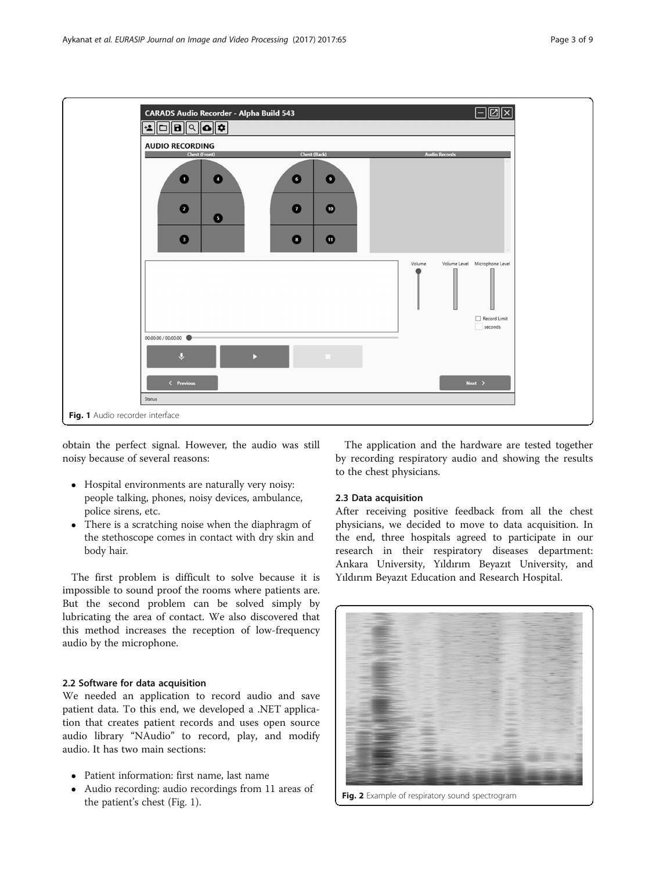<span id="page-2-0"></span>

obtain the perfect signal. However, the audio was still noisy because of several reasons:

- Hospital environments are naturally very noisy: people talking, phones, noisy devices, ambulance, police sirens, etc.
- There is a scratching noise when the diaphragm of the stethoscope comes in contact with dry skin and body hair.

The first problem is difficult to solve because it is impossible to sound proof the rooms where patients are. But the second problem can be solved simply by lubricating the area of contact. We also discovered that this method increases the reception of low-frequency audio by the microphone.

## 2.2 Software for data acquisition

We needed an application to record audio and save patient data. To this end, we developed a .NET application that creates patient records and uses open source audio library "NAudio" to record, play, and modify audio. It has two main sections:

- Patient information: first name, last name
- Audio recording: audio recordings from 11 areas of the patient's chest (Fig. 1).

The application and the hardware are tested together by recording respiratory audio and showing the results to the chest physicians.

## 2.3 Data acquisition

After receiving positive feedback from all the chest physicians, we decided to move to data acquisition. In the end, three hospitals agreed to participate in our research in their respiratory diseases department: Ankara University, Yıldırım Beyazıt University, and Yıldırım Beyazıt Education and Research Hospital.



Fig. 2 Example of respiratory sound spectrogram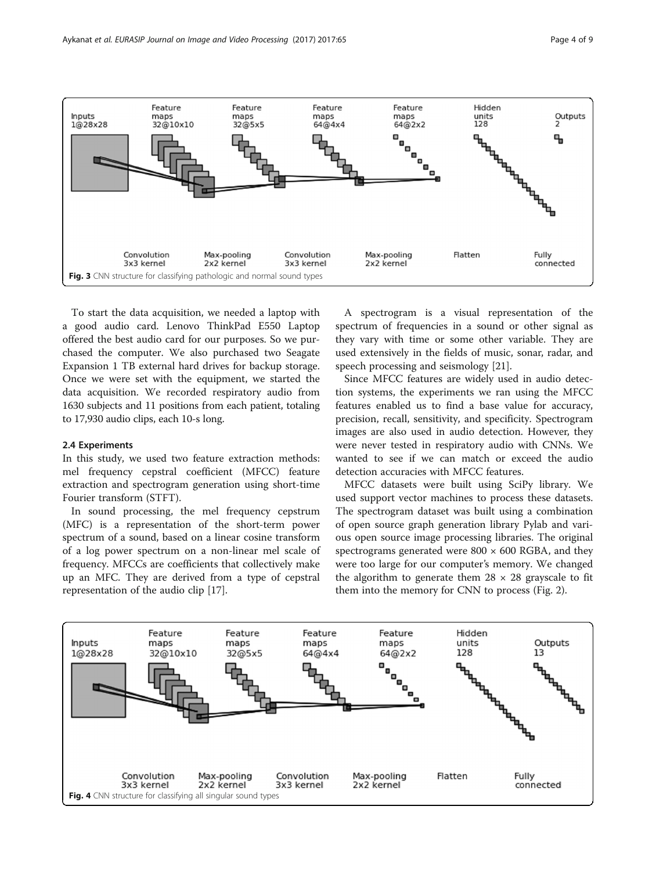<span id="page-3-0"></span>

To start the data acquisition, we needed a laptop with a good audio card. Lenovo ThinkPad E550 Laptop offered the best audio card for our purposes. So we purchased the computer. We also purchased two Seagate Expansion 1 TB external hard drives for backup storage. Once we were set with the equipment, we started the data acquisition. We recorded respiratory audio from 1630 subjects and 11 positions from each patient, totaling to 17,930 audio clips, each 10-s long.

## 2.4 Experiments

In this study, we used two feature extraction methods: mel frequency cepstral coefficient (MFCC) feature extraction and spectrogram generation using short-time Fourier transform (STFT).

In sound processing, the mel frequency cepstrum (MFC) is a representation of the short-term power spectrum of a sound, based on a linear cosine transform of a log power spectrum on a non-linear mel scale of frequency. MFCCs are coefficients that collectively make up an MFC. They are derived from a type of cepstral representation of the audio clip [[17](#page-8-0)].

A spectrogram is a visual representation of the spectrum of frequencies in a sound or other signal as they vary with time or some other variable. They are used extensively in the fields of music, sonar, radar, and speech processing and seismology [[21\]](#page-8-0).

Since MFCC features are widely used in audio detection systems, the experiments we ran using the MFCC features enabled us to find a base value for accuracy, precision, recall, sensitivity, and specificity. Spectrogram images are also used in audio detection. However, they were never tested in respiratory audio with CNNs. We wanted to see if we can match or exceed the audio detection accuracies with MFCC features.

MFCC datasets were built using SciPy library. We used support vector machines to process these datasets. The spectrogram dataset was built using a combination of open source graph generation library Pylab and various open source image processing libraries. The original spectrograms generated were  $800 \times 600$  RGBA, and they were too large for our computer's memory. We changed the algorithm to generate them  $28 \times 28$  grayscale to fit them into the memory for CNN to process (Fig. [2\)](#page-2-0).

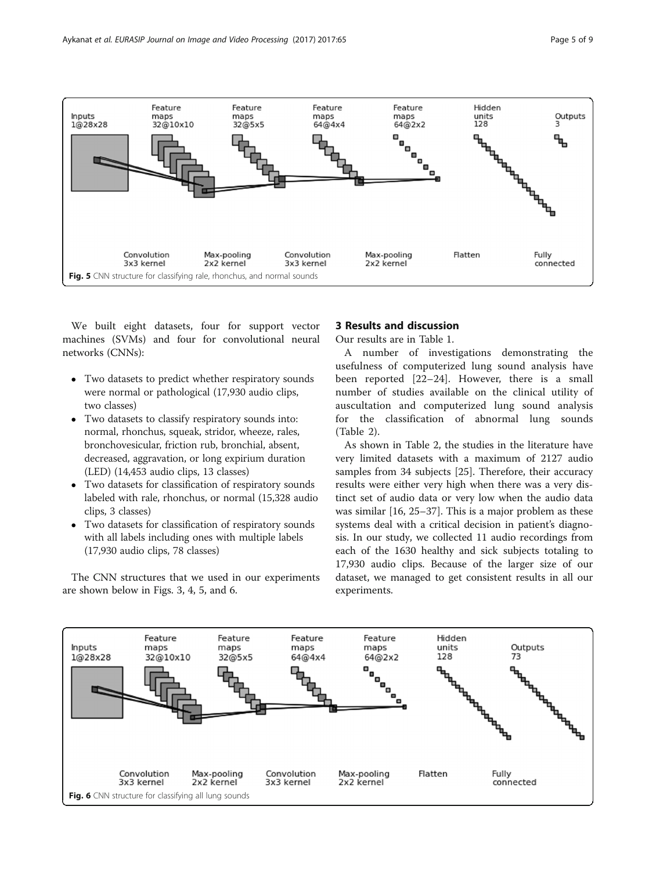

We built eight datasets, four for support vector machines (SVMs) and four for convolutional neural networks (CNNs):

- Two datasets to predict whether respiratory sounds were normal or pathological (17,930 audio clips, two classes)
- Two datasets to classify respiratory sounds into: normal, rhonchus, squeak, stridor, wheeze, rales, bronchovesicular, friction rub, bronchial, absent, decreased, aggravation, or long expirium duration (LED) (14,453 audio clips, 13 classes)
- Two datasets for classification of respiratory sounds labeled with rale, rhonchus, or normal (15,328 audio clips, 3 classes)
- Two datasets for classification of respiratory sounds with all labels including ones with multiple labels (17,930 audio clips, 78 classes)

The CNN structures that we used in our experiments are shown below in Figs. [3, 4,](#page-3-0) 5, and 6.

## 3 Results and discussion

Our results are in Table [1](#page-5-0).

A number of investigations demonstrating the usefulness of computerized lung sound analysis have been reported [[22](#page-8-0)–[24\]](#page-8-0). However, there is a small number of studies available on the clinical utility of auscultation and computerized lung sound analysis for the classification of abnormal lung sounds (Table [2\)](#page-6-0).

As shown in Table [2](#page-6-0), the studies in the literature have very limited datasets with a maximum of 2127 audio samples from 34 subjects [\[25](#page-8-0)]. Therefore, their accuracy results were either very high when there was a very distinct set of audio data or very low when the audio data was similar [\[16](#page-8-0), [25](#page-8-0)–[37\]](#page-8-0). This is a major problem as these systems deal with a critical decision in patient's diagnosis. In our study, we collected 11 audio recordings from each of the 1630 healthy and sick subjects totaling to 17,930 audio clips. Because of the larger size of our dataset, we managed to get consistent results in all our experiments.

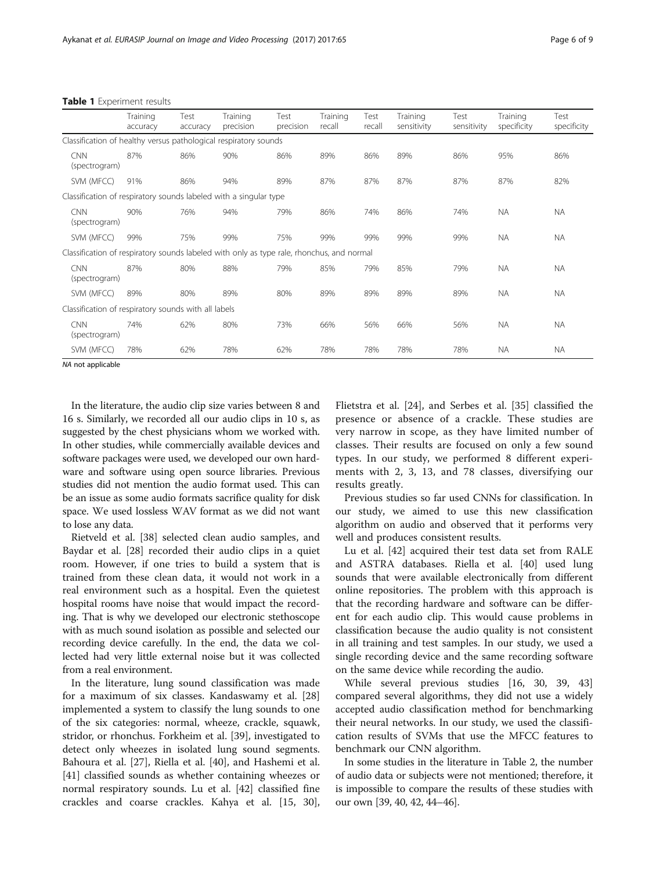<span id="page-5-0"></span>

|  | Table 1 Experiment results |  |
|--|----------------------------|--|
|--|----------------------------|--|

|                                                                                           | Training<br>accuracy | Test<br>accuracy | Training<br>precision | Test<br>precision | Training<br>recall | Test<br>recall | Training<br>sensitivity | Test<br>sensitivity | Training<br>specificity | Test<br>specificity |
|-------------------------------------------------------------------------------------------|----------------------|------------------|-----------------------|-------------------|--------------------|----------------|-------------------------|---------------------|-------------------------|---------------------|
| Classification of healthy versus pathological respiratory sounds                          |                      |                  |                       |                   |                    |                |                         |                     |                         |                     |
| <b>CNN</b><br>(spectrogram)                                                               | 87%                  | 86%              | 90%                   | 86%               | 89%                | 86%            | 89%                     | 86%                 | 95%                     | 86%                 |
| SVM (MFCC)                                                                                | 91%                  | 86%              | 94%                   | 89%               | 87%                | 87%            | 87%                     | 87%                 | 87%                     | 82%                 |
| Classification of respiratory sounds labeled with a singular type                         |                      |                  |                       |                   |                    |                |                         |                     |                         |                     |
| <b>CNN</b><br>(spectrogram)                                                               | 90%                  | 76%              | 94%                   | 79%               | 86%                | 74%            | 86%                     | 74%                 | <b>NA</b>               | <b>NA</b>           |
| SVM (MFCC)                                                                                | 99%                  | 75%              | 99%                   | 75%               | 99%                | 99%            | 99%                     | 99%                 | <b>NA</b>               | NA.                 |
| Classification of respiratory sounds labeled with only as type rale, rhonchus, and normal |                      |                  |                       |                   |                    |                |                         |                     |                         |                     |
| <b>CNN</b><br>(spectrogram)                                                               | 87%                  | 80%              | 88%                   | 79%               | 85%                | 79%            | 85%                     | 79%                 | <b>NA</b>               | <b>NA</b>           |
| SVM (MFCC)                                                                                | 89%                  | 80%              | 89%                   | 80%               | 89%                | 89%            | 89%                     | 89%                 | <b>NA</b>               | <b>NA</b>           |
| Classification of respiratory sounds with all labels                                      |                      |                  |                       |                   |                    |                |                         |                     |                         |                     |
| <b>CNN</b><br>(spectrogram)                                                               | 74%                  | 62%              | 80%                   | 73%               | 66%                | 56%            | 66%                     | 56%                 | <b>NA</b>               | <b>NA</b>           |
| SVM (MFCC)                                                                                | 78%                  | 62%              | 78%                   | 62%               | 78%                | 78%            | 78%                     | 78%                 | <b>NA</b>               | NA.                 |

NA not applicable

In the literature, the audio clip size varies between 8 and 16 s. Similarly, we recorded all our audio clips in 10 s, as suggested by the chest physicians whom we worked with. In other studies, while commercially available devices and software packages were used, we developed our own hardware and software using open source libraries. Previous studies did not mention the audio format used. This can be an issue as some audio formats sacrifice quality for disk space. We used lossless WAV format as we did not want to lose any data.

Rietveld et al. [\[38](#page-8-0)] selected clean audio samples, and Baydar et al. [[28](#page-8-0)] recorded their audio clips in a quiet room. However, if one tries to build a system that is trained from these clean data, it would not work in a real environment such as a hospital. Even the quietest hospital rooms have noise that would impact the recording. That is why we developed our electronic stethoscope with as much sound isolation as possible and selected our recording device carefully. In the end, the data we collected had very little external noise but it was collected from a real environment.

In the literature, lung sound classification was made for a maximum of six classes. Kandaswamy et al. [[28](#page-8-0)] implemented a system to classify the lung sounds to one of the six categories: normal, wheeze, crackle, squawk, stridor, or rhonchus. Forkheim et al. [[39](#page-8-0)], investigated to detect only wheezes in isolated lung sound segments. Bahoura et al. [\[27](#page-8-0)], Riella et al. [\[40\]](#page-8-0), and Hashemi et al. [[41\]](#page-8-0) classified sounds as whether containing wheezes or normal respiratory sounds. Lu et al. [\[42\]](#page-8-0) classified fine crackles and coarse crackles. Kahya et al. [[15, 30](#page-8-0)],

Flietstra et al. [\[24\]](#page-8-0), and Serbes et al. [[35](#page-8-0)] classified the presence or absence of a crackle. These studies are very narrow in scope, as they have limited number of classes. Their results are focused on only a few sound types. In our study, we performed 8 different experiments with 2, 3, 13, and 78 classes, diversifying our results greatly.

Previous studies so far used CNNs for classification. In our study, we aimed to use this new classification algorithm on audio and observed that it performs very well and produces consistent results.

Lu et al. [[42](#page-8-0)] acquired their test data set from RALE and ASTRA databases. Riella et al. [\[40](#page-8-0)] used lung sounds that were available electronically from different online repositories. The problem with this approach is that the recording hardware and software can be different for each audio clip. This would cause problems in classification because the audio quality is not consistent in all training and test samples. In our study, we used a single recording device and the same recording software on the same device while recording the audio.

While several previous studies [[16, 30, 39](#page-8-0), [43](#page-8-0)] compared several algorithms, they did not use a widely accepted audio classification method for benchmarking their neural networks. In our study, we used the classification results of SVMs that use the MFCC features to benchmark our CNN algorithm.

In some studies in the literature in Table [2](#page-6-0), the number of audio data or subjects were not mentioned; therefore, it is impossible to compare the results of these studies with our own [\[39, 40](#page-8-0), [42](#page-8-0), [44](#page-8-0)–[46](#page-8-0)].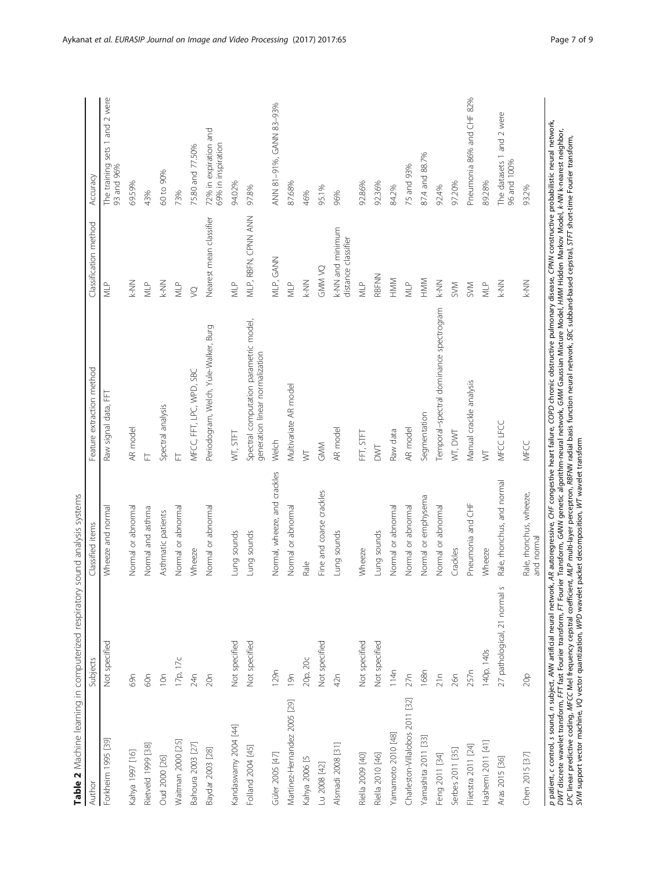<span id="page-6-0"></span>

| Not specified<br>Not specified<br>Not specified<br>17p, 17c<br>129 <sub>n</sub><br>24n<br>10n<br>69n<br>60n<br>20n<br>Kandaswamy 2004 [44]<br>Forkheim 1995 [39]<br>Waitman 2000 [25]<br>Bahoura 2003 [27]<br>Rietveld 1999 [38]<br>Folland 2004 [45]<br>Baydar 2003 [28]<br>Kahya 1997 [16]<br>Güler 2005 [47]<br>Oud 2000 [26] | Normal or abnormal<br>Normal or abnormal<br>Normal or abnormal<br>Wheeze and normal<br>Normal and asthma<br>Asthmatic patients<br>Lung sounds<br>Lung sounds<br>Wheeze | Periodogram, Welch, Yule-Walker, Burg<br>MFCC, FFT, LPC, WPD, SBC<br>Raw signal data, FFT<br>Spectral analysis<br>AR model<br>wt, stft<br>는<br>는 | K-NN<br>MLP<br><b>NT</b>                | sets 1 and 2 were<br>The training<br>93 and 96% |
|----------------------------------------------------------------------------------------------------------------------------------------------------------------------------------------------------------------------------------------------------------------------------------------------------------------------------------|------------------------------------------------------------------------------------------------------------------------------------------------------------------------|--------------------------------------------------------------------------------------------------------------------------------------------------|-----------------------------------------|-------------------------------------------------|
|                                                                                                                                                                                                                                                                                                                                  |                                                                                                                                                                        |                                                                                                                                                  |                                         |                                                 |
|                                                                                                                                                                                                                                                                                                                                  |                                                                                                                                                                        |                                                                                                                                                  |                                         | 69.59%                                          |
|                                                                                                                                                                                                                                                                                                                                  |                                                                                                                                                                        |                                                                                                                                                  |                                         | 43%                                             |
|                                                                                                                                                                                                                                                                                                                                  |                                                                                                                                                                        |                                                                                                                                                  | K-NN                                    | 60 to 90%                                       |
|                                                                                                                                                                                                                                                                                                                                  |                                                                                                                                                                        |                                                                                                                                                  | MLP                                     | 73%                                             |
|                                                                                                                                                                                                                                                                                                                                  |                                                                                                                                                                        |                                                                                                                                                  | $\varrho$                               | 75.80 and 77.50%                                |
|                                                                                                                                                                                                                                                                                                                                  |                                                                                                                                                                        |                                                                                                                                                  | Nearest mean classifier                 | 72% in expiration and<br>69% in inspiration     |
|                                                                                                                                                                                                                                                                                                                                  |                                                                                                                                                                        |                                                                                                                                                  | $\sum_{i=1}^{n}$                        | 94.02%                                          |
|                                                                                                                                                                                                                                                                                                                                  |                                                                                                                                                                        | Spectral computation parametric model,<br>generation linear normalization                                                                        | MLP, RBFN, CPNN ANN                     | 97.8%                                           |
|                                                                                                                                                                                                                                                                                                                                  | Normal, wheeze, and crackles                                                                                                                                           | Welch                                                                                                                                            | MLP, GANN                               | ANN 81-91%, GANN 83-93%                         |
| 19n<br>Martinez-Hernandez 2005 [29]                                                                                                                                                                                                                                                                                              | Normal or abnormal                                                                                                                                                     | Multivariate AR model                                                                                                                            | $\sum_{i=1}^{n}$                        | 87.68%                                          |
| 20р, 20с<br>Kahya 2006 [5                                                                                                                                                                                                                                                                                                        | Rale                                                                                                                                                                   | $\overline{\triangleright}$                                                                                                                      | <b>NN-</b>                              | 46%                                             |
| Not specified<br>Lu 2008 [42]                                                                                                                                                                                                                                                                                                    | Fine and coarse crackles                                                                                                                                               | GMM                                                                                                                                              | <b>ON MINE</b>                          | 95.1%                                           |
| 42n<br>Alsmadi 2008 [31]                                                                                                                                                                                                                                                                                                         | Lung sounds                                                                                                                                                            | AR model                                                                                                                                         | k-NN and minimum<br>distance classifier | 96%                                             |
| Not specified<br>Riella 2009 [40]                                                                                                                                                                                                                                                                                                | Wheeze                                                                                                                                                                 | FFT, STFT                                                                                                                                        | $M^P$                                   | 92.86%                                          |
| Not specified<br>Riella 2010 [46]                                                                                                                                                                                                                                                                                                | Lung sounds                                                                                                                                                            | DWT                                                                                                                                              | RBFNN                                   | 92.36%                                          |
| 114n<br>Yamamoto 2010 [48]                                                                                                                                                                                                                                                                                                       | Normal or abnormal                                                                                                                                                     | Raw data                                                                                                                                         | HMM                                     | 84.2%                                           |
| 27n<br>Charleston-Villalobos 2011 [32]                                                                                                                                                                                                                                                                                           | Normal or abnormal                                                                                                                                                     | AR model                                                                                                                                         | MLP                                     | 75 and 93%                                      |
| 168n<br>Yamashita 2011 [33]                                                                                                                                                                                                                                                                                                      | Normal or emphysema                                                                                                                                                    | Segmentation                                                                                                                                     | HMM                                     | 87.4 and 88.7%                                  |
| 21n<br>Feng 2011 [34]                                                                                                                                                                                                                                                                                                            | Normal or abnormal                                                                                                                                                     | Temporal-spectral dominance spectrogram                                                                                                          | <b>NN-X</b>                             | 92.4%                                           |
| 26n<br>Serbes 2011 [35]                                                                                                                                                                                                                                                                                                          | Crackles                                                                                                                                                               | WT, DWT                                                                                                                                          | SVM                                     | 97.20%                                          |
| 257n<br>Flietstra 2011 [24]                                                                                                                                                                                                                                                                                                      | Pneumonia and CHF                                                                                                                                                      | Manual crackle analysis                                                                                                                          | <b>SVM</b>                              | Pneumonia 86% and CHF 82%                       |
| 140p, 140s<br>Hashemi 2011 [41]                                                                                                                                                                                                                                                                                                  | Wheeze                                                                                                                                                                 | $\overline{\triangleright}$                                                                                                                      | <b>NLP</b>                              | 89.28%                                          |
| 27 pathological, 21 normal s<br>Aras 2015 [36]                                                                                                                                                                                                                                                                                   | Rale, rhonchus, and normal                                                                                                                                             | MECC LECC                                                                                                                                        | <b>NN-X</b>                             | The datasets 1 and 2 were<br>96 and 100%        |
| 20p<br>Chen 2015 [37]                                                                                                                                                                                                                                                                                                            | Rale, rhonchus, wheeze,<br>and normal                                                                                                                                  | MFCC                                                                                                                                             | <b>NN-</b>                              | 93.2%                                           |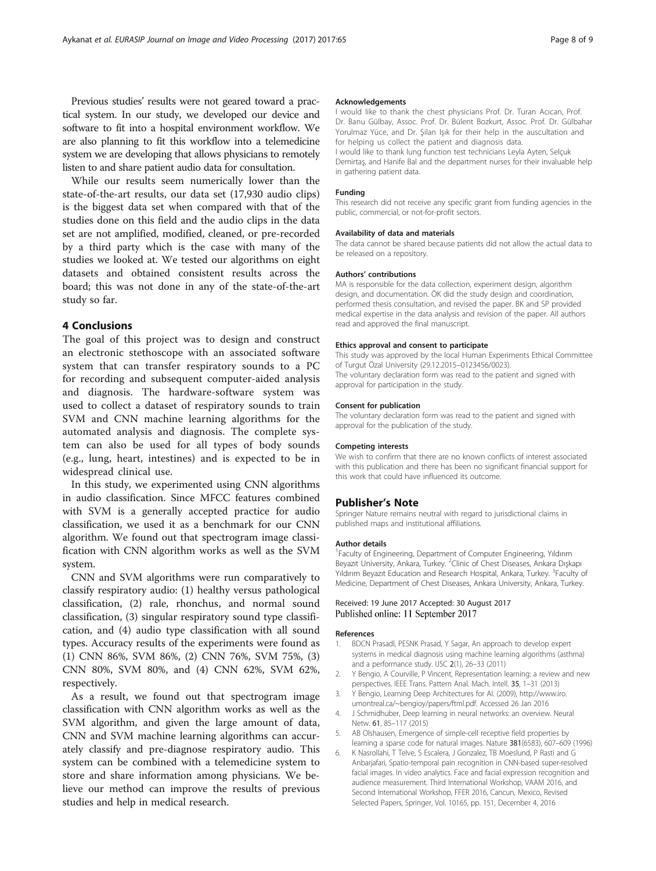<span id="page-7-0"></span>Previous studies' results were not geared toward a practical system. In our study, we developed our device and software to fit into a hospital environment workflow. We are also planning to fit this workflow into a telemedicine system we are developing that allows physicians to remotely listen to and share patient audio data for consultation.

While our results seem numerically lower than the state-of-the-art results, our data set (17,930 audio clips) is the biggest data set when compared with that of the studies done on this field and the audio clips in the data set are not amplified, modified, cleaned, or pre-recorded by a third party which is the case with many of the studies we looked at. We tested our algorithms on eight datasets and obtained consistent results across the board; this was not done in any of the state-of-the-art study so far.

## 4 Conclusions

The goal of this project was to design and construct an electronic stethoscope with an associated software system that can transfer respiratory sounds to a PC for recording and subsequent computer-aided analysis and diagnosis. The hardware-software system was used to collect a dataset of respiratory sounds to train SVM and CNN machine learning algorithms for the automated analysis and diagnosis. The complete system can also be used for all types of body sounds (e.g., lung, heart, intestines) and is expected to be in widespread clinical use.

In this study, we experimented using CNN algorithms in audio classification. Since MFCC features combined with SVM is a generally accepted practice for audio classification, we used it as a benchmark for our CNN algorithm. We found out that spectrogram image classification with CNN algorithm works as well as the SVM system.

CNN and SVM algorithms were run comparatively to classify respiratory audio: (1) healthy versus pathological classification, (2) rale, rhonchus, and normal sound classification, (3) singular respiratory sound type classification, and (4) audio type classification with all sound types. Accuracy results of the experiments were found as (1) CNN 86%, SVM 86%, (2) CNN 76%, SVM 75%, (3) CNN 80%, SVM 80%, and (4) CNN 62%, SVM 62%, respectively.

As a result, we found out that spectrogram image classification with CNN algorithm works as well as the SVM algorithm, and given the large amount of data, CNN and SVM machine learning algorithms can accurately classify and pre-diagnose respiratory audio. This system can be combined with a telemedicine system to store and share information among physicians. We believe our method can improve the results of previous studies and help in medical research.

#### Acknowledgements

I would like to thank the chest physicians Prof. Dr. Turan Acıcan, Prof. Dr. Banu Gülbay, Assoc. Prof. Dr. Bülent Bozkurt, Assoc. Prof. Dr. Gülbahar Yorulmaz Yüce, and Dr. Şilan Işık for their help in the auscultation and for helping us collect the patient and diagnosis data. I would like to thank lung function test technicians Leyla Ayten, Selçuk Demirtaş, and Hanife Bal and the department nurses for their invaluable help in gathering patient data.

#### Funding

This research did not receive any specific grant from funding agencies in the public, commercial, or not-for-profit sectors.

#### Availability of data and materials

The data cannot be shared because patients did not allow the actual data to be released on a repository.

#### Authors' contributions

MA is responsible for the data collection, experiment design, algorithm design, and documentation. ÖK did the study design and coordination, performed thesis consultation, and revised the paper. BK and SP provided medical expertise in the data analysis and revision of the paper. All authors read and approved the final manuscript.

#### Ethics approval and consent to participate

This study was approved by the local Human Experiments Ethical Committee of Turgut Özal University (29.12.2015–0123456/0023). The voluntary declaration form was read to the patient and signed with approval for participation in the study.

#### Consent for publication

The voluntary declaration form was read to the patient and signed with approval for the publication of the study.

#### Competing interests

We wish to confirm that there are no known conflicts of interest associated with this publication and there has been no significant financial support for this work that could have influenced its outcome.

#### Publisher's Note

Springer Nature remains neutral with regard to jurisdictional claims in published maps and institutional affiliations.

#### Author details

1 Faculty of Engineering, Department of Computer Engineering, Yıldırım Beyazıt University, Ankara, Turkey. <sup>2</sup>Clinic of Chest Diseases, Ankara Dışkapı Yıldırım Beyazıt Education and Research Hospital, Ankara, Turkey. <sup>3</sup>Faculty of Medicine, Department of Chest Diseases, Ankara University, Ankara, Turkey.

#### Received: 19 June 2017 Accepted: 30 August 2017 Published online: 11 September 2017

#### References

- 1. BDCN Prasadl, PESNK Prasad, Y Sagar, An approach to develop expert systems in medical diagnosis using machine learning algorithms (asthma) and a performance study. IJSC 2(1), 26–33 (2011)
- 2. Y Bengio, A Courville, P Vincent, Representation learning: a review and new perspectives. IEEE Trans. Pattern Anal. Mach. Intell. 35, 1–31 (2013)
- 3. Y Bengio, Learning Deep Architectures for AI. (2009), [http://www.iro.](http://www.iro.umontreal.ca/~bengioy/papers/ftml.pdf) [umontreal.ca/~bengioy/papers/ftml.pdf.](http://www.iro.umontreal.ca/~bengioy/papers/ftml.pdf) Accessed 26 Jan 2016
- 4. J Schmidhuber, Deep learning in neural networks: an overview. Neural Netw. 61, 85–117 (2015)
- 5. AB Olshausen, Emergence of simple-cell receptive field properties by learning a sparse code for natural images. Nature 381(6583), 607–609 (1996)
- 6. K Nasrollahi, T Telve, S Escalera, J Gonzalez, TB Moeslund, P Rasti and G Anbarjafari, Spatio-temporal pain recognition in CNN-based super-resolved facial images. In video analytics. Face and facial expression recognition and audience measurement. Third International Workshop, VAAM 2016, and Second International Workshop, FFER 2016, Cancun, Mexico, Revised Selected Papers, Springer, Vol. 10165, pp. 151, December 4, 2016